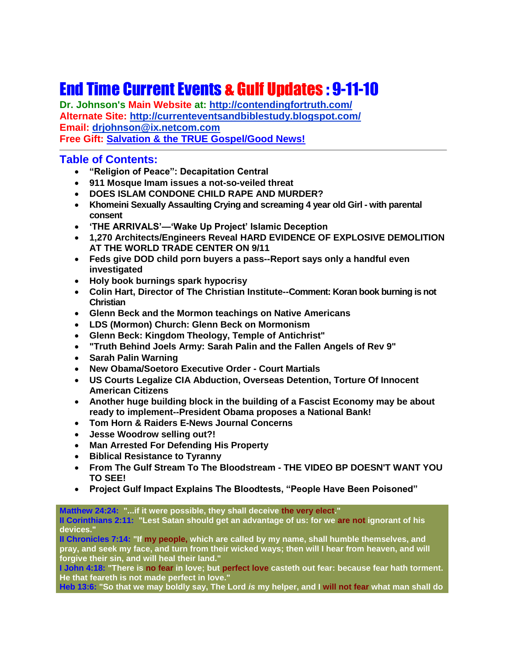# End Time Current Events & Gulf Updates : 9-11-10

**Dr. Johnson's Main Website at:<http://contendingfortruth.com/> Alternate Site: <http://currenteventsandbiblestudy.blogspot.com/> Email: [drjohnson@ix.netcom.com](mailto:drjohnson@ix.netcom.com) Free Gift: [Salvation & the TRUE Gospel/Good News!](http://www.contendingfortruth.com/?cat=98)**

## **Table of Contents:**

- **"Religion of Peace": Decapitation Central**
- **911 Mosque Imam issues a not-so-veiled threat**
- **DOES ISLAM CONDONE CHILD RAPE AND MURDER?**
- **Khomeini Sexually Assaulting Crying and screaming 4 year old Girl - with parental consent**
- **'THE ARRIVALS'—'Wake Up Project' Islamic Deception**
- **1,270 Architects/Engineers Reveal HARD EVIDENCE OF EXPLOSIVE DEMOLITION AT THE WORLD TRADE CENTER ON 9/11**
- **Feds give DOD child porn buyers a pass--Report says only a handful even investigated**
- **Holy book burnings spark hypocrisy**
- **Colin Hart, Director of The Christian Institute--Comment: Koran book burning is not Christian**
- **Glenn Beck and the Mormon teachings on Native Americans**
- **LDS (Mormon) Church: Glenn Beck on Mormonism**
- **Glenn Beck: Kingdom Theology, Temple of Antichrist"**
- **"Truth Behind Joels Army: Sarah Palin and the Fallen Angels of Rev 9"**
- **Sarah Palin Warning**
- **New Obama/Soetoro Executive Order - Court Martials**
- **US Courts Legalize CIA Abduction, Overseas Detention, Torture Of Innocent American Citizens**
- **Another huge building block in the building of a Fascist Economy may be about ready to implement--President Obama proposes a National Bank!**
- **Tom Horn & Raiders E-News Journal Concerns**
- **Jesse Woodrow selling out?!**
- **Man Arrested For Defending His Property**
- **Biblical Resistance to Tyranny**
- **From The Gulf Stream To The Bloodstream - THE VIDEO BP DOESN'T WANT YOU TO SEE!**
- **Project Gulf Impact Explains The Bloodtests, "People Have Been Poisoned"**

**Matthew 24:24: "...if it were possible, they shall deceive the very elect."** 

**II Corinthians 2:11: "Lest Satan should get an advantage of us: for we are not ignorant of his devices."** 

**II Chronicles 7:14: "If my people, which are called by my name, shall humble themselves, and pray, and seek my face, and turn from their wicked ways; then will I hear from heaven, and will forgive their sin, and will heal their land."**

**I John 4:18: "There is no fear in love; but perfect love casteth out fear: because fear hath torment. He that feareth is not made perfect in love."**

**Heb 13:6: "So that we may boldly say, The Lord** *is* **my helper, and I will not fear what man shall do**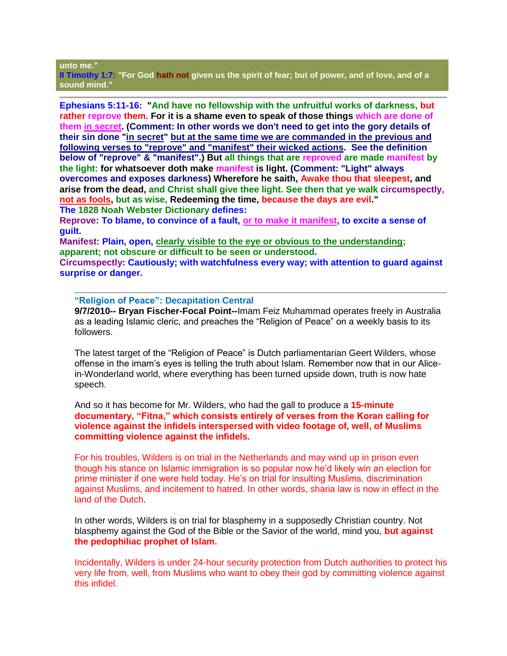#### **unto me."**

**II Timothy 1:7: "For God hath not given us the spirit of fear; but of power, and of love, and of a sound mind."**

**Ephesians 5:11-16: "And have no fellowship with the unfruitful works of darkness, but rather reprove them. For it is a shame even to speak of those things which are done of them in secret. (Comment: In other words we don't need to get into the gory details of their sin done "in secret" but at the same time we are commanded in the previous and following verses to "reprove" and "manifest" their wicked actions. See the definition below of "reprove" & "manifest".) But all things that are reproved are made manifest by the light: for whatsoever doth make manifest is light. (Comment: "Light" always overcomes and exposes darkness) Wherefore he saith, Awake thou that sleepest, and arise from the dead, and Christ shall give thee light. See then that ye walk circumspectly, not as fools, but as wise, Redeeming the time, because the days are evil." The 1828 Noah Webster Dictionary defines:**

**Reprove: To blame, to convince of a fault, or to make it manifest, to excite a sense of guilt.**

**Manifest: Plain, open, clearly visible to the eye or obvious to the understanding; apparent; not obscure or difficult to be seen or understood.**

**Circumspectly: Cautiously; with watchfulness every way; with attention to guard against surprise or danger.**

#### **"Religion of Peace": Decapitation Central**

**9/7/2010-- Bryan Fischer-Focal Point--**Imam Feiz Muhammad operates freely in Australia as a leading Islamic cleric, and preaches the "Religion of Peace" on a weekly basis to its followers.

The latest target of the "Religion of Peace" is Dutch parliamentarian Geert Wilders, whose offense in the imam's eyes is telling the truth about Islam. Remember now that in our Alicein-Wonderland world, where everything has been turned upside down, truth is now hate speech.

And so it has become for Mr. Wilders, who had the gall to produce a **15-minute documentary, "Fitna," which consists entirely of verses from the Koran calling for violence against the infidels interspersed with video footage of, well, of Muslims committing violence against the infidels.**

For his troubles, Wilders is on trial in the Netherlands and may wind up in prison even though his stance on Islamic immigration is so popular now he'd likely win an election for prime minister if one were held today. He's on trial for insulting Muslims, discrimination against Muslims, and incitement to hatred. In other words, sharia law is now in effect in the land of the Dutch.

In other words, Wilders is on trial for blasphemy in a supposedly Christian country. Not blasphemy against the God of the Bible or the Savior of the world, mind you, **but against the pedophiliac prophet of Islam.**

Incidentally, Wilders is under 24-hour security protection from Dutch authorities to protect his very life from, well, from Muslims who want to obey their god by committing violence against this infidel.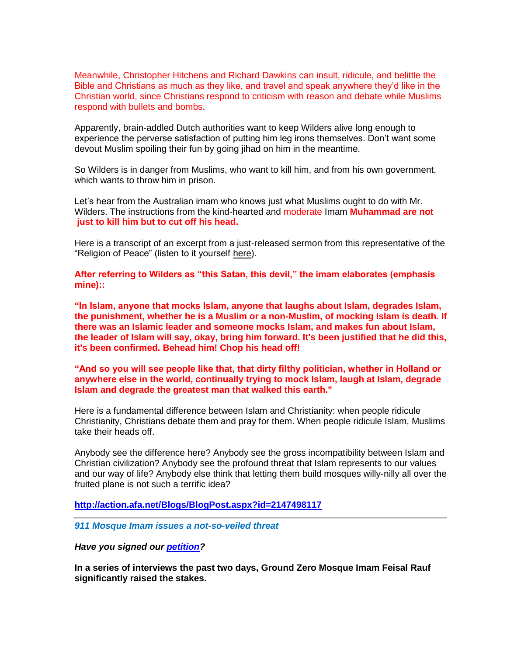Meanwhile, Christopher Hitchens and Richard Dawkins can insult, ridicule, and belittle the Bible and Christians as much as they like, and travel and speak anywhere they'd like in the Christian world, since Christians respond to criticism with reason and debate while Muslims respond with bullets and bombs.

Apparently, brain-addled Dutch authorities want to keep Wilders alive long enough to experience the perverse satisfaction of putting him leg irons themselves. Don't want some devout Muslim spoiling their fun by going jihad on him in the meantime.

So Wilders is in danger from Muslims, who want to kill him, and from his own government, which wants to throw him in prison.

Let's hear from the Australian imam who knows just what Muslims ought to do with Mr. Wilders. The instructions from the kind-hearted and moderate Imam **Muhammad are not just to kill him but to cut off his head.**

Here is a transcript of an excerpt from a just-released sermon from this representative of the "Religion of Peace" (listen to it yourself [here\)](http://www.youtube.com/watch?v=Oq-T7x1bDOI&feature=player_embedded).

**After referring to Wilders as "this Satan, this devil," the imam elaborates (emphasis mine)::**

**"In Islam, anyone that mocks Islam, anyone that laughs about Islam, degrades Islam, the punishment, whether he is a Muslim or a non-Muslim, of mocking Islam is death. If there was an Islamic leader and someone mocks Islam, and makes fun about Islam, the leader of Islam will say, okay, bring him forward. It's been justified that he did this, it's been confirmed. Behead him! Chop his head off!** 

**"And so you will see people like that, that dirty filthy politician, whether in Holland or anywhere else in the world, continually trying to mock Islam, laugh at Islam, degrade Islam and degrade the greatest man that walked this earth."**

Here is a fundamental difference between Islam and Christianity: when people ridicule Christianity, Christians debate them and pray for them. When people ridicule Islam, Muslims take their heads off.

Anybody see the difference here? Anybody see the gross incompatibility between Islam and Christian civilization? Anybody see the profound threat that Islam represents to our values and our way of life? Anybody else think that letting them build mosques willy-nilly all over the fruited plane is not such a terrific idea?

**<http://action.afa.net/Blogs/BlogPost.aspx?id=2147498117>**

*911 Mosque Imam issues a not-so-veiled threat*

*Have you signed our [petition?](http://tool.donation-net.net/ACT4America/GroundZeroMosque.cfm?dn=1097&commID=37173912&ID=214794)*

**In a series of interviews the past two days, Ground Zero Mosque Imam Feisal Rauf significantly raised the stakes.**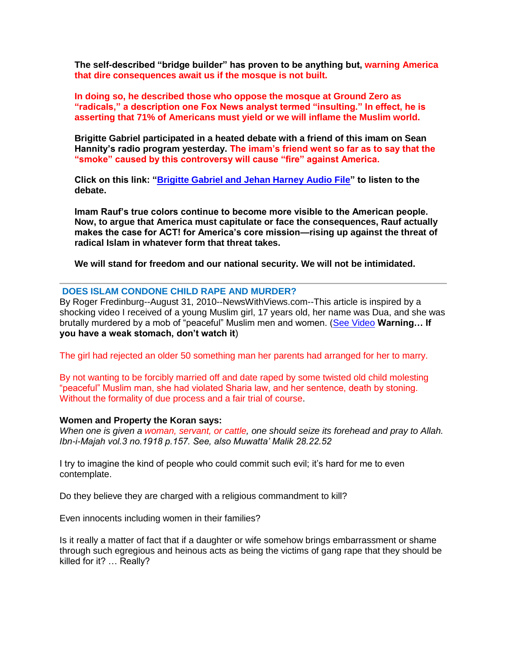**The self-described "bridge builder" has proven to be anything but, warning America that dire consequences await us if the mosque is not built.** 

**In doing so, he described those who oppose the mosque at Ground Zero as "radicals," a description one Fox News analyst termed "insulting." In effect, he is asserting that 71% of Americans must yield or we will inflame the Muslim world.** 

**Brigitte Gabriel participated in a heated debate with a friend of this imam on Sean Hannity's radio program yesterday. The imam's friend went so far as to say that the "smoke" caused by this controversy will cause "fire" against America.**

**Click on this link: ["Brigitte Gabriel and Jehan Harney Audio File"](http://tool.donation-net.net/Act4America/GabrielHarneyAudio.cfm?dn=1097&commID=37173912&ID=214794) to listen to the debate.** 

**Imam Rauf's true colors continue to become more visible to the American people. Now, to argue that America must capitulate or face the consequences, Rauf actually makes the case for ACT! for America's core mission—rising up against the threat of radical Islam in whatever form that threat takes.** 

**We will stand for freedom and our national security. We will not be intimidated.**

#### **DOES ISLAM CONDONE CHILD RAPE AND MURDER?**

By Roger Fredinburg--August 31, 2010--NewsWithViews.com--This article is inspired by a shocking video I received of a young Muslim girl, 17 years old, her name was Dua, and she was brutally murdered by a mob of "peaceful" Muslim men and women. [\(See Video](http://www.youtube.com/watch?v=G_ZWTx-QUj4) **Warning… If you have a weak stomach, don't watch it**)

The girl had rejected an older 50 something man her parents had arranged for her to marry.

By not wanting to be forcibly married off and date raped by some twisted old child molesting "peaceful" Muslim man, she had violated Sharia law, and her sentence, death by stoning. Without the formality of due process and a fair trial of course.

#### **Women and Property the Koran says:**

*When one is given a woman, servant, or cattle, one should seize its forehead and pray to Allah. Ibn-i-Majah vol.3 no.1918 p.157. See, also Muwatta' Malik 28.22.52*

I try to imagine the kind of people who could commit such evil; it's hard for me to even contemplate.

Do they believe they are charged with a religious commandment to kill?

Even innocents including women in their families?

Is it really a matter of fact that if a daughter or wife somehow brings embarrassment or shame through such egregious and heinous acts as being the victims of gang rape that they should be killed for it? … Really?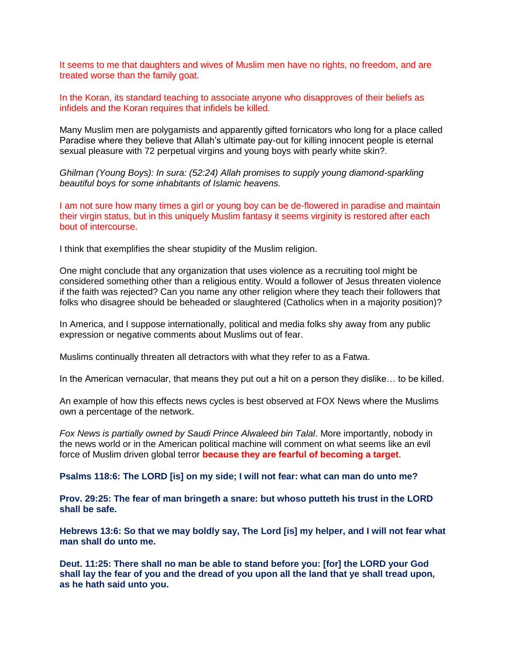It seems to me that daughters and wives of Muslim men have no rights, no freedom, and are treated worse than the family goat.

In the Koran, its standard teaching to associate anyone who disapproves of their beliefs as infidels and the Koran requires that infidels be killed.

Many Muslim men are polygamists and apparently gifted fornicators who long for a place called Paradise where they believe that Allah's ultimate pay-out for killing innocent people is eternal sexual pleasure with 72 perpetual virgins and young boys with pearly white skin?.

*Ghilman (Young Boys): In sura: (52:24) Allah promises to supply young diamond-sparkling beautiful boys for some inhabitants of Islamic heavens.*

I am not sure how many times a girl or young boy can be de-flowered in paradise and maintain their virgin status, but in this uniquely Muslim fantasy it seems virginity is restored after each bout of intercourse.

I think that exemplifies the shear stupidity of the Muslim religion.

One might conclude that any organization that uses violence as a recruiting tool might be considered something other than a religious entity. Would a follower of Jesus threaten violence if the faith was rejected? Can you name any other religion where they teach their followers that folks who disagree should be beheaded or slaughtered (Catholics when in a majority position)?

In America, and I suppose internationally, political and media folks shy away from any public expression or negative comments about Muslims out of fear.

Muslims continually threaten all detractors with what they refer to as a Fatwa.

In the American vernacular, that means they put out a hit on a person they dislike… to be killed.

An example of how this effects news cycles is best observed at FOX News where the Muslims own a percentage of the network.

*Fox News is partially owned by Saudi Prince Alwaleed bin Talal*. More importantly, nobody in the news world or in the American political machine will comment on what seems like an evil force of Muslim driven global terror **because they are fearful of becoming a target**.

**Psalms 118:6: The LORD [is] on my side; I will not fear: what can man do unto me?** 

**Prov. 29:25: The fear of man bringeth a snare: but whoso putteth his trust in the LORD shall be safe.**

**Hebrews 13:6: So that we may boldly say, The Lord [is] my helper, and I will not fear what man shall do unto me.**

**Deut. 11:25: There shall no man be able to stand before you: [for] the LORD your God shall lay the fear of you and the dread of you upon all the land that ye shall tread upon, as he hath said unto you.**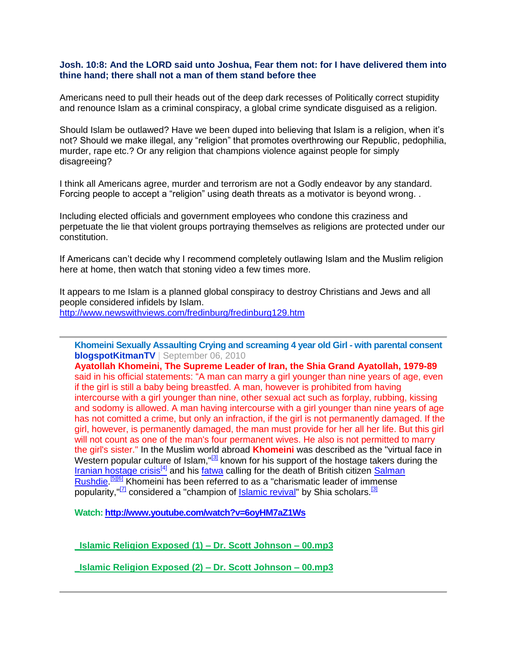## **Josh. 10:8: And the LORD said unto Joshua, Fear them not: for I have delivered them into thine hand; there shall not a man of them stand before thee**

Americans need to pull their heads out of the deep dark recesses of Politically correct stupidity and renounce Islam as a criminal conspiracy, a global crime syndicate disguised as a religion.

Should Islam be outlawed? Have we been duped into believing that Islam is a religion, when it's not? Should we make illegal, any "religion" that promotes overthrowing our Republic, pedophilia, murder, rape etc.? Or any religion that champions violence against people for simply disagreeing?

I think all Americans agree, murder and terrorism are not a Godly endeavor by any standard. Forcing people to accept a "religion" using death threats as a motivator is beyond wrong. .

Including elected officials and government employees who condone this craziness and perpetuate the lie that violent groups portraying themselves as religions are protected under our constitution.

If Americans can't decide why I recommend completely outlawing Islam and the Muslim religion here at home, then watch that stoning video a few times more.

It appears to me Islam is a planned global conspiracy to destroy Christians and Jews and all people considered infidels by Islam. <http://www.newswithviews.com/fredinburg/fredinburg129.htm>

**Khomeini Sexually Assaulting Crying and screaming 4 year old Girl - with parental consent [blogspotKitmanTV](http://www.youtube.com/user/blogspotKitmanTV)** | September 06, 2010

**Ayatollah Khomeini, The Supreme Leader of Iran, the Shia Grand Ayatollah, 1979-89** said in his official statements: "A man can marry a girl younger than nine years of age, even if the girl is still a baby being breastfed. A man, however is prohibited from having intercourse with a girl younger than nine, other sexual act such as forplay, rubbing, kissing and sodomy is allowed. A man having intercourse with a girl younger than nine years of age has not comitted a crime, but only an infraction, if the girl is not permanently damaged. If the girl, however, is permanently damaged, the man must provide for her all her life. But this girl will not count as one of the man's four permanent wives. He also is not permitted to marry the girl's sister." In the Muslim world abroad **Khomeini** was described as the "virtual face in Western popular culture of Islam," $[3]$  known for his support of the hostage takers during the [Iranian hostage crisis](https://secure.wikimedia.org/wikipedia/en/wiki/Iranian_hostage_crisis)<sup>[\[4\]](https://secure.wikimedia.org/wikipedia/en/wiki/Iranian_hostage_crisis)</sup> and his [fatwa](https://secure.wikimedia.org/wikipedia/en/wiki/Fatw%C4%81) calling for the death of British citizen Salman [Rushdie.](https://secure.wikimedia.org/wikipedia/en/wiki/Salman_Rushdie)<sup>[\[5\]\[6\]](https://secure.wikimedia.org/wikipedia/en/wiki/Ruhollah_Khomeini#cite_note-4)</sup> Khomeini has been referred to as a "charismatic leader of immense popularity,"<sup>[\[7\]](https://secure.wikimedia.org/wikipedia/en/wiki/Ruhollah_Khomeini#cite_note-EofI-6)</sup> considered a "champion of [Islamic revival"](https://secure.wikimedia.org/wikipedia/en/wiki/Islamic_revival) by Shia scholars.<sup>[\[3\]](https://secure.wikimedia.org/wikipedia/en/wiki/Ruhollah_Khomeini#cite_note-nasr-2)</sup>

**Watch: <http://www.youtube.com/watch?v=6oyHM7aZ1Ws>**

**[\\_Islamic Religion Exposed \(1\) –](http://contendingfortruth.com/wp-content/uploads/audio-files/_Islamic%20Religion%20Exposed%20%281%29%20-%20Dr.%20Scott%20Johnson%20-%2000.mp3) Dr. Scott Johnson – 00.mp3**

**[\\_Islamic Religion Exposed \(2\) –](http://contendingfortruth.com/wp-content/uploads/audio-files/_Islamic%20Religion%20Exposed%20%282%29%20-%20Dr.%20Scott%20Johnson%20-%2000.mp3) Dr. Scott Johnson – 00.mp3**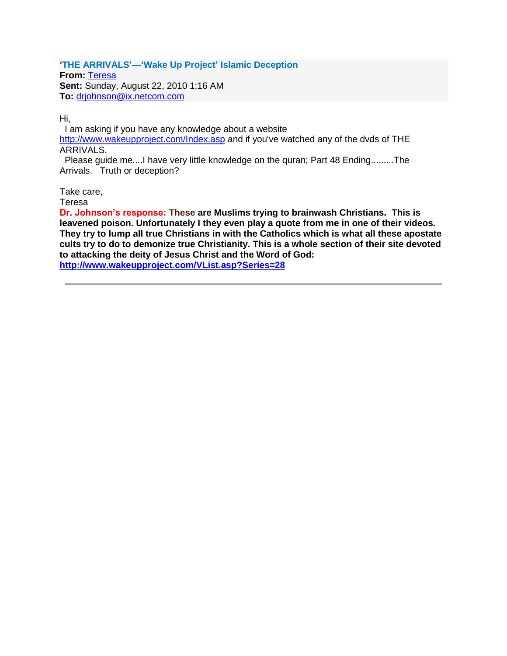## **'THE ARRIVALS'—'Wake Up Project' Islamic Deception**

**From:** Teresa **Sent:** Sunday, August 22, 2010 1:16 AM **To:** [drjohnson@ix.netcom.com](mailto:drjohnson@ix.netcom.com)

Hi,

I am asking if you have any knowledge about a website <http://www.wakeupproject.com/Index.asp> and if you've watched any of the dvds of THE ARRIVALS.

Please guide me....I have very little knowledge on the quran; Part 48 Ending.........The Arrivals. Truth or deception?

Take care,

Teresa

**Dr. Johnson's response: These are Muslims trying to brainwash Christians. This is leavened poison. Unfortunately I they even play a quote from me in one of their videos. They try to lump all true Christians in with the Catholics which is what all these apostate cults try to do to demonize true Christianity. This is a whole section of their site devoted to attacking the deity of Jesus Christ and the Word of God: <http://www.wakeupproject.com/VList.asp?Series=28>**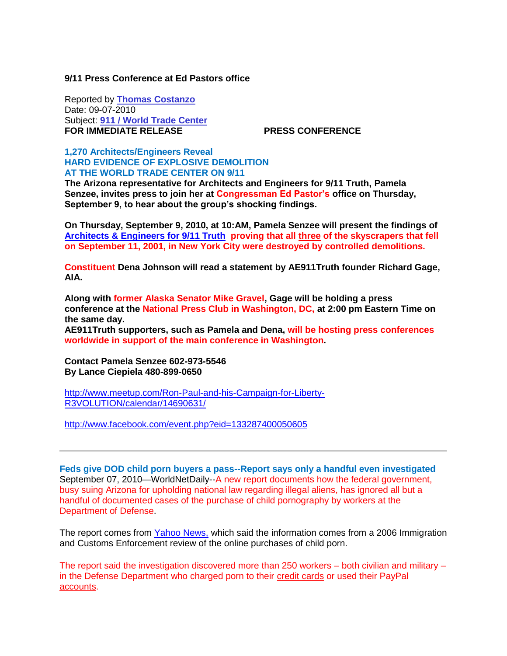## **9/11 Press Conference at Ed Pastors office**

Reported by **[Thomas Costanzo](http://www.freedomsphoenix.com/Writer-Bio-Page.htm?EditNo=090)** Date: 09-07-2010 Subject: **[911 / World Trade Center](http://www.freedomsphoenix.com/Subjects/00254-LAST-911-world-trade-center.htm) FOR IMMEDIATE RELEASE PRESS CONFERENCE** 

## **1,270 Architects/Engineers Reveal HARD EVIDENCE OF EXPLOSIVE DEMOLITION AT THE WORLD TRADE CENTER ON 9/11**

**The Arizona representative for Architects and Engineers for 9/11 Truth, Pamela Senzee, invites press to join her at Congressman Ed Pastor's office on Thursday, September 9, to hear about the group's shocking findings.**

**On Thursday, September 9, 2010, at 10:AM, Pamela Senzee will present the findings of [Architects & Engineers for 9/11 Truth](http://www.freedomsphoenix.com/Article/www.ae911truth.org/) proving that all three of the skyscrapers that fell on September 11, 2001, in New York City were destroyed by controlled demolitions.** 

**Constituent Dena Johnson will read a statement by AE911Truth founder Richard Gage, AIA.**

**Along with former Alaska Senator Mike Gravel, Gage will be holding a press conference at the National Press Club in Washington, DC, at 2:00 pm Eastern Time on the same day.** 

**AE911Truth supporters, such as Pamela and Dena, will be hosting press conferences worldwide in support of the main conference in Washington.** 

**Contact Pamela Senzee 602-973-5546 By Lance Ciepiela 480-899-0650**

[http://www.meetup.com/Ron-Paul-and-his-Campaign-for-Liberty-](http://www.meetup.com/Ron-Paul-and-his-Campaign-for-Liberty-R3VOLUTION/calendar/14690631/)[R3VOLUTION/calendar/14690631/](http://www.meetup.com/Ron-Paul-and-his-Campaign-for-Liberty-R3VOLUTION/calendar/14690631/)

<http://www.facebook.com/event.php?eid=133287400050605>

**Feds give DOD child porn buyers a pass--Report says only a handful even investigated** September 07, 2010—WorldNetDaily--A new report documents how the federal government, busy suing Arizona for upholding national law regarding illegal aliens, has ignored all but a handful of documented cases of the purchase of child pornography by workers at the Department of Defense.

The report comes from [Yahoo News,](htp://news.yahoo.com/s/yblog_upshot/20100903/us_yblog_upshot/pentagon-declined-to-investigate-hundreds-of-purchases-of-child-pornography) which said the information comes from a 2006 Immigration and Customs Enforcement review of the online purchases of child porn.

The report said the investigation discovered more than 250 workers – both civilian and military – in the Defense Department who charged porn to their credit cards or used their PayPal accounts.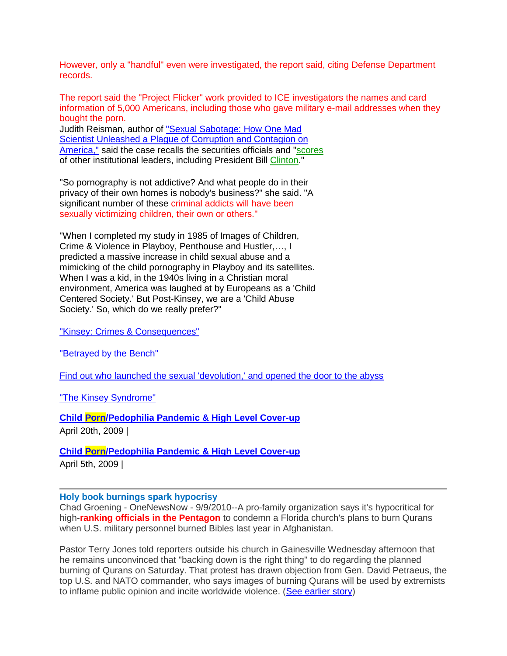However, only a "handful" even were investigated, the report said, citing Defense Department records.

The report said the "Project Flicker" work provided to ICE investigators the names and card information of 5,000 Americans, including those who gave military e-mail addresses when they bought the porn.

Judith Reisman, author of ["Sexual Sabotage: How One Mad](http://superstore.wnd.com/store/item.asp?DEPARTMENT_ID=6&SUBDEPARTMENT_ID=115&ITEM_ID=3724)  [Scientist Unleashed a Plague of Corruption and Contagion on](http://superstore.wnd.com/store/item.asp?DEPARTMENT_ID=6&SUBDEPARTMENT_ID=115&ITEM_ID=3724)  [America,"](http://superstore.wnd.com/store/item.asp?DEPARTMENT_ID=6&SUBDEPARTMENT_ID=115&ITEM_ID=3724) said the case recalls the securities officials and "scores of other institutional leaders, including President Bill Clinton."

"So pornography is not addictive? And what people do in their privacy of their own homes is nobody's business?" she said. "A significant number of these criminal addicts will have been sexually victimizing children, their own or others."

"When I completed my study in 1985 of Images of Children, Crime & Violence in Playboy, Penthouse and Hustler,…, I predicted a massive increase in child sexual abuse and a mimicking of the child pornography in Playboy and its satellites. When I was a kid, in the 1940s living in a Christian moral environment, America was laughed at by Europeans as a 'Child Centered Society.' But Post-Kinsey, we are a 'Child Abuse Society.' So, which do we really prefer?"

["Kinsey: Crimes & Consequences"](http://shop.wnd.com/store/item.asp?DEPARTMENT_ID=6&SUBDEPARTMENT_ID=23&ITEM_ID=859)

["Betrayed by the Bench"](http://shop.wnd.com/store/item.asp?DEPARTMENT_ID=6&SUBDEPARTMENT_ID=20&ITEM_ID=1849)

[Find out who launched the sexual 'devolution,' and opened the door to the abyss](http://www.wnd.com/index.php?fa=PAGE.view&pageId=185833)

["The Kinsey](http://shop.wnd.com/store/item.asp?ITEM_ID=2692) Syndrome"

**[Child Porn/Pedophilia Pandemic & High Level Cover-up](http://www.contendingfortruth.com/?p=1051)**

April 20th, 2009 |

**[Child Porn/Pedophilia Pandemic & High Level Cover-up](http://www.contendingfortruth.com/?p=1053)**

April 5th, 2009 |

#### **Holy book burnings spark hypocrisy**

Chad Groening - OneNewsNow - 9/9/2010--A pro-family organization says it's hypocritical for high-**ranking officials in the Pentagon** to condemn a Florida church's plans to burn Qurans when U.S. military personnel burned Bibles last year in Afghanistan.

Pastor Terry Jones told reporters outside his church in Gainesville Wednesday afternoon that he remains unconvinced that "backing down is the right thing" to do regarding the planned burning of Qurans on Saturday. That protest has drawn objection from Gen. David Petraeus, the top U.S. and NATO commander, who says images of burning Qurans will be used by extremists to inflame public opinion and incite worldwide violence. [\(See earlier story\)](http://www.onenewsnow.com/Persecution/Default.aspx?id=1158988)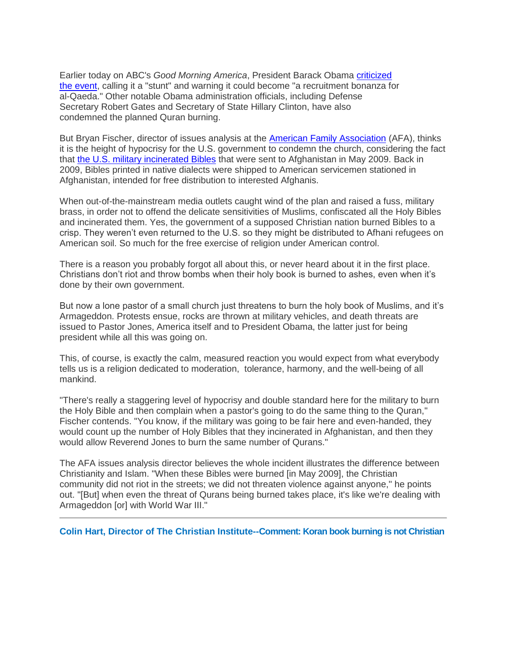Earlier today on ABC's *Good Morning America*, President Barack Obama [criticized](http://www.onenewsnow.com/Headlines/Default.aspx?id=1161348)  [the event,](http://www.onenewsnow.com/Headlines/Default.aspx?id=1161348) calling it a "stunt" and warning it could become "a recruitment bonanza for al-Qaeda." Other notable Obama administration officials, including Defense Secretary Robert Gates and Secretary of State Hillary Clinton, have also condemned the planned Quran burning.

But Bryan Fischer, director of issues analysis at the [American Family Association](http://www.afa.net/) (AFA), thinks it is the height of hypocrisy for the U.S. government to condemn the church, considering the fact that [the U.S. military incinerated Bibles](http://www.onenewsnow.com/Security/Default.aspx?id=516980) that were sent to Afghanistan in May 2009. Back in 2009, Bibles printed in native dialects were shipped to American servicemen stationed in Afghanistan, intended for free distribution to interested Afghanis.

When out-of-the-mainstream media outlets caught wind of the plan and raised a fuss, military brass, in order not to offend the delicate sensitivities of Muslims, confiscated all the Holy Bibles and incinerated them. Yes, the government of a supposed Christian nation burned Bibles to a crisp. They weren't even returned to the U.S. so they might be distributed to Afhani refugees on American soil. So much for the free exercise of religion under American control.

There is a reason you probably forgot all about this, or never heard about it in the first place. Christians don't riot and throw bombs when their holy book is burned to ashes, even when it's done by their own government.

But now a lone pastor of a small church just threatens to burn the holy book of Muslims, and it's Armageddon. Protests ensue, rocks are thrown at military vehicles, and death threats are issued to Pastor Jones, America itself and to President Obama, the latter just for being president while all this was going on.

This, of course, is exactly the calm, measured reaction you would expect from what everybody tells us is a religion dedicated to moderation, tolerance, harmony, and the well-being of all mankind.

"There's really a staggering level of hypocrisy and double standard here for the military to burn the Holy Bible and then complain when a pastor's going to do the same thing to the Quran," Fischer contends. "You know, if the military was going to be fair here and even-handed, they would count up the number of Holy Bibles that they incinerated in Afghanistan, and then they would allow Reverend Jones to burn the same number of Qurans."

The AFA issues analysis director believes the whole incident illustrates the difference between Christianity and Islam. "When these Bibles were burned [in May 2009], the Christian community did not riot in the streets; we did not threaten violence against anyone," he points out. "[But] when even the threat of Qurans being burned takes place, it's like we're dealing with Armageddon [or] with World War III."

**Colin Hart, Director of The Christian Institute--Comment: Koran book burning is not Christian**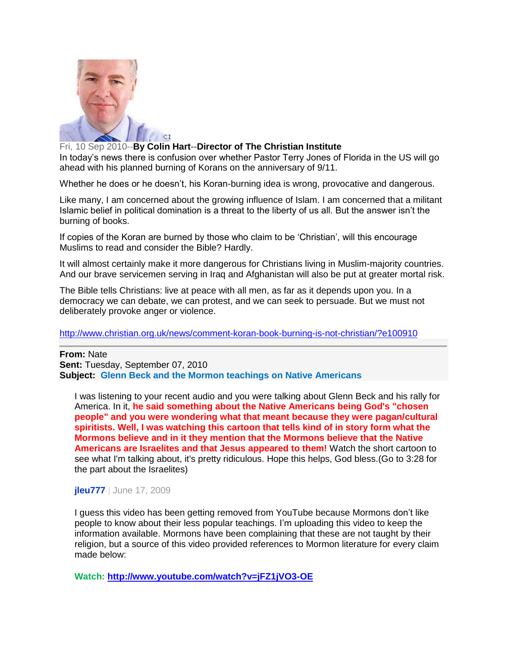

## Fri, 10 Sep 2010--**By Colin Hart**--**Director of The Christian Institute**

In today's news there is confusion over whether Pastor Terry Jones of Florida in the US will go ahead with his planned burning of Korans on the anniversary of 9/11.

Whether he does or he doesn't, his Koran-burning idea is wrong, provocative and dangerous.

Like many, I am concerned about the growing influence of Islam. I am concerned that a militant Islamic belief in political domination is a threat to the liberty of us all. But the answer isn't the burning of books.

If copies of the Koran are burned by those who claim to be 'Christian', will this encourage Muslims to read and consider the Bible? Hardly.

It will almost certainly make it more dangerous for Christians living in Muslim-majority countries. And our brave servicemen serving in Iraq and Afghanistan will also be put at greater mortal risk.

The Bible tells Christians: live at peace with all men, as far as it depends upon you. In a democracy we can debate, we can protest, and we can seek to persuade. But we must not deliberately provoke anger or violence.

<http://www.christian.org.uk/news/comment-koran-book-burning-is-not-christian/?e100910>

#### **From:** Nate

**Sent:** Tuesday, September 07, 2010 **Subject: Glenn Beck and the Mormon teachings on Native Americans**

I was listening to your recent audio and you were talking about Glenn Beck and his rally for America. In it, **he said something about the Native Americans being God's "chosen people" and you were wondering what that meant because they were pagan/cultural spiritists. Well, I was watching this cartoon that tells kind of in story form what the Mormons believe and in it they mention that the Mormons believe that the Native Americans are Israelites and that Jesus appeared to them!** Watch the short cartoon to see what I'm talking about, it's pretty ridiculous. Hope this helps, God bless.(Go to 3:28 for the part about the Israelites)

#### **[jleu777](http://www.youtube.com/user/jleu777)** | June 17, 2009

I guess this video has been getting removed from YouTube because Mormons don't like people to know about their less popular teachings. I'm uploading this video to keep the information available. Mormons have been complaining that these are not taught by their religion, but a source of this video provided references to Mormon literature for every claim made below:

**Watch: <http://www.youtube.com/watch?v=jFZ1jVO3-OE>**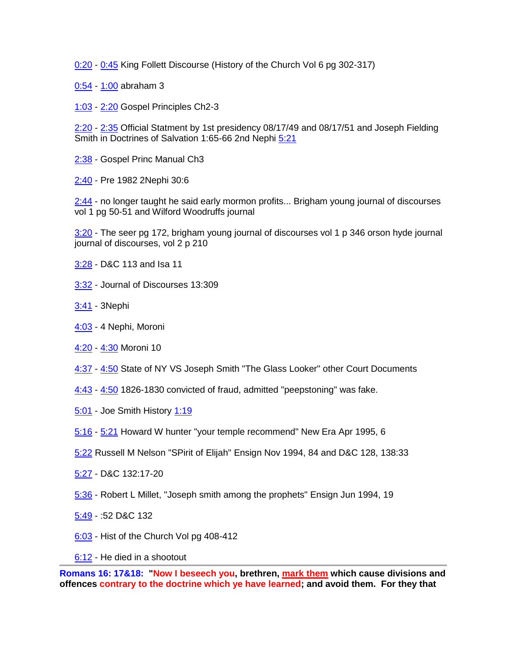[0:20](http://www.youtube.com/watch?v=jFZ1jVO3-OE) - [0:45](http://www.youtube.com/watch?v=jFZ1jVO3-OE) King Follett Discourse (History of the Church Vol 6 pg 302-317)

- [0:54](http://www.youtube.com/watch?v=jFZ1jVO3-OE) [1:00](http://www.youtube.com/watch?v=jFZ1jVO3-OE) abraham 3
- [1:03](http://www.youtube.com/watch?v=jFZ1jVO3-OE) [2:20](http://www.youtube.com/watch?v=jFZ1jVO3-OE) Gospel Principles Ch2-3

[2:20](http://www.youtube.com/watch?v=jFZ1jVO3-OE) - [2:35](http://www.youtube.com/watch?v=jFZ1jVO3-OE) Official Statment by 1st presidency 08/17/49 and 08/17/51 and Joseph Fielding Smith in Doctrines of Salvation 1:65-66 2nd Nephi [5:21](http://www.youtube.com/watch?v=jFZ1jVO3-OE)

- [2:38](http://www.youtube.com/watch?v=jFZ1jVO3-OE) Gospel Princ Manual Ch3
- [2:40](http://www.youtube.com/watch?v=jFZ1jVO3-OE) Pre 1982 2Nephi 30:6

[2:44](http://www.youtube.com/watch?v=jFZ1jVO3-OE) - no longer taught he said early mormon profits... Brigham young journal of discourses vol 1 pg 50-51 and Wilford Woodruffs journal

[3:20](http://www.youtube.com/watch?v=jFZ1jVO3-OE) - The seer pg 172, brigham young journal of discourses vol 1 p 346 orson hyde journal journal of discourses, vol 2 p 210

- [3:28](http://www.youtube.com/watch?v=jFZ1jVO3-OE) D&C 113 and Isa 11
- [3:32](http://www.youtube.com/watch?v=jFZ1jVO3-OE) Journal of Discourses 13:309
- [3:41](http://www.youtube.com/watch?v=jFZ1jVO3-OE) 3Nephi
- [4:03](http://www.youtube.com/watch?v=jFZ1jVO3-OE) 4 Nephi, Moroni
- [4:20](http://www.youtube.com/watch?v=jFZ1jVO3-OE) [4:30](http://www.youtube.com/watch?v=jFZ1jVO3-OE) Moroni 10
- [4:37](http://www.youtube.com/watch?v=jFZ1jVO3-OE) [4:50](http://www.youtube.com/watch?v=jFZ1jVO3-OE) State of NY VS Joseph Smith "The Glass Looker" other Court Documents
- [4:43](http://www.youtube.com/watch?v=jFZ1jVO3-OE) [4:50](http://www.youtube.com/watch?v=jFZ1jVO3-OE) 1826-1830 convicted of fraud, admitted "peepstoning" was fake.
- [5:01](http://www.youtube.com/watch?v=jFZ1jVO3-OE) Joe Smith History [1:19](http://www.youtube.com/watch?v=jFZ1jVO3-OE)
- [5:16](http://www.youtube.com/watch?v=jFZ1jVO3-OE) [5:21](http://www.youtube.com/watch?v=jFZ1jVO3-OE) Howard W hunter "your temple recommend" New Era Apr 1995, 6
- [5:22](http://www.youtube.com/watch?v=jFZ1jVO3-OE) Russell M Nelson "SPirit of Elijah" Ensign Nov 1994, 84 and D&C 128, 138:33
- [5:27](http://www.youtube.com/watch?v=jFZ1jVO3-OE) D&C 132:17-20
- [5:36](http://www.youtube.com/watch?v=jFZ1jVO3-OE) Robert L Millet, "Joseph smith among the prophets" Ensign Jun 1994, 19
- [5:49](http://www.youtube.com/watch?v=jFZ1jVO3-OE) :52 D&C 132
- [6:03](http://www.youtube.com/watch?v=jFZ1jVO3-OE) Hist of the Church Vol pg 408-412
- [6:12](http://www.youtube.com/watch?v=jFZ1jVO3-OE) He died in a shootout

**Romans 16: 17&18: "Now I beseech you, brethren, mark them which cause divisions and offences contrary to the doctrine which ye have learned; and avoid them. For they that**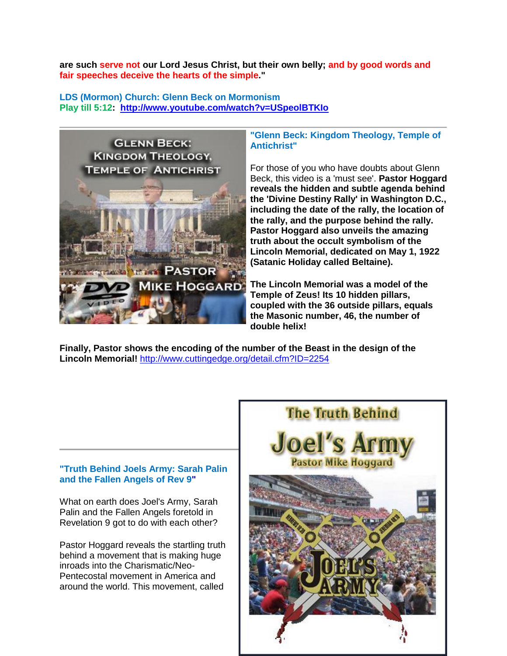**are such serve not our Lord Jesus Christ, but their own belly; and by good words and fair speeches deceive the hearts of the simple."**

**LDS (Mormon) Church: Glenn Beck on Mormonism Play till 5:12: <http://www.youtube.com/watch?v=USpeolBTKIo>**



## **"Glenn Beck: Kingdom Theology, Temple of Antichrist"**

For those of you who have doubts about Glenn Beck, this video is a 'must see'. **Pastor Hoggard reveals the hidden and subtle agenda behind the 'Divine Destiny Rally' in Washington D.C., including the date of the rally, the location of the rally, and the purpose behind the rally. Pastor Hoggard also unveils the amazing truth about the occult symbolism of the Lincoln Memorial, dedicated on May 1, 1922 (Satanic Holiday called Beltaine).** 

**The Lincoln Memorial was a model of the Temple of Zeus! Its 10 hidden pillars, coupled with the 36 outside pillars, equals the Masonic number, 46, the number of double helix!** 

**Finally, Pastor shows the encoding of the number of the Beast in the design of the Lincoln Memorial!** <http://www.cuttingedge.org/detail.cfm?ID=2254>

## **"Truth Behind Joels Army: Sarah Palin and the Fallen Angels of Rev 9"**

What on earth does Joel's Army, Sarah Palin and the Fallen Angels foretold in Revelation 9 got to do with each other?

Pastor Hoggard reveals the startling truth behind a movement that is making huge inroads into the Charismatic/Neo-Pentecostal movement in America and around the world. This movement, called

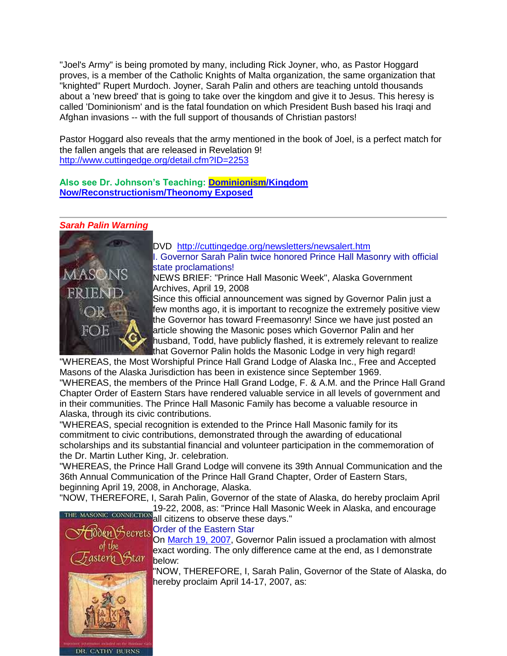"Joel's Army" is being promoted by many, including Rick Joyner, who, as Pastor Hoggard proves, is a member of the Catholic Knights of Malta organization, the same organization that "knighted" Rupert Murdoch. Joyner, Sarah Palin and others are teaching untold thousands about a 'new breed' that is going to take over the kingdom and give it to Jesus. This heresy is called 'Dominionism' and is the fatal foundation on which President Bush based his Iraqi and Afghan invasions -- with the full support of thousands of Christian pastors!

Pastor Hoggard also reveals that the army mentioned in the book of Joel, is a perfect match for the fallen angels that are released in Revelation 9! <http://www.cuttingedge.org/detail.cfm?ID=2253>

**Also see Dr. Johnson's Teaching: [Dominionism/Kingdom](http://www.contendingfortruth.com/?p=1098)  [Now/Reconstructionism/Theonomy Exposed](http://www.contendingfortruth.com/?p=1098)**

## *Sarah Palin Warning*



[DVD](http://cuttingedge.org/detail.cfm?ID=928) <http://cuttingedge.org/newsletters/newsalert.htm> I. Governor Sarah Palin twice honored Prince Hall Masonry with official state proclamations!

NEWS BRIEF: ["Prince Hall Masonic Week",](http://www.gov.alaska.gov/archive-15972.html) Alaska Government Archives, April 19, 2008

Since this official announcement was signed by Governor Palin just a few months ago, it is important to recognize the extremely positive view the Governor has toward Freemasonry! Since we have just posted an article showing the Masonic poses which Governor Palin and her husband, Todd, have publicly flashed, it is extremely relevant to realize that Governor Palin holds the Masonic Lodge in very high regard!

"WHEREAS, the Most Worshipful Prince Hall Grand Lodge of Alaska Inc., Free and Accepted Masons of the Alaska Jurisdiction has been in existence since September 1969.

"WHEREAS, the members of the Prince Hall Grand Lodge, F. & A.M. and the Prince Hall Grand Chapter Order of Eastern Stars have rendered valuable service in all levels of government and in their communities. The Prince Hall Masonic Family has become a valuable resource in Alaska, through its civic contributions.

"WHEREAS, special recognition is extended to the Prince Hall Masonic family for its commitment to civic contributions, demonstrated through the awarding of educational scholarships and its substantial financial and volunteer participation in the commemoration of the Dr. Martin Luther King, Jr. celebration.

"WHEREAS, the Prince Hall Grand Lodge will convene its 39th Annual Communication and the 36th Annual Communication of the Prince Hall Grand Chapter, Order of Eastern Stars, beginning April 19, 2008, in Anchorage, Alaska.

"NOW, THEREFORE, I, Sarah Palin, Governor of the state of Alaska, do hereby proclaim April 19-22, 2008, as: "Prince Hall Masonic Week in Alaska, and encourage



DR. CATHY BURNS

 $\frac{1922}{1922}$  citizens to observe these days." **Secrets** Order of the Eastern Star

On [March 19, 2007,](http://gov.state.ak.us/archive-31356.html) Governor Palin issued a proclamation with almost exact wording. The only difference came at the end, as I demonstrate below:

"NOW, THEREFORE, I, Sarah Palin, Governor of the State of Alaska, do hereby proclaim April 14-17, 2007, as: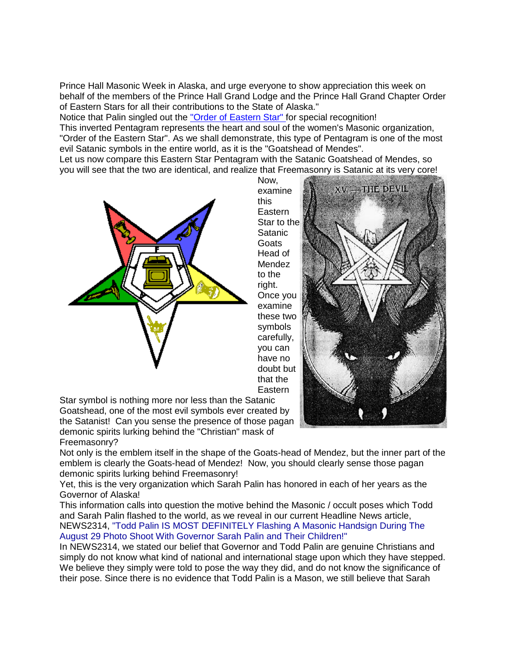Prince Hall Masonic Week in Alaska, and urge everyone to show appreciation this week on behalf of the members of the Prince Hall Grand Lodge and the Prince Hall Grand Chapter Order of Eastern Stars for all their contributions to the State of Alaska."

Notice that Palin singled out the ["Order of Eastern Star" f](http://cuttingedge.org/detail.cfm?ID=10)or special recognition!

This inverted Pentagram represents the heart and soul of the women's Masonic organization, "Order of the Eastern Star". As we shall demonstrate, this type of Pentagram is one of the most evil Satanic symbols in the entire world, as it is the "Goatshead of Mendes".

Let us now compare this Eastern Star Pentagram with the Satanic Goatshead of Mendes, so you will see that the two are identical, and realize that Freemasonry is Satanic at its very core!



Now, examine this **Eastern** Star to the **Satanic Goats** Head of Mendez to the right. Once you examine these two symbols carefully, you can have no doubt but that the Eastern

Star symbol is nothing more nor less than the Satanic Goatshead, one of the most evil symbols ever created by the Satanist! Can you sense the presence of those pagan demonic spirits lurking behind the "Christian" mask of Freemasonry?

Not only is the emblem itself in the shape of the Goats-head of Mendez, but the inner part of the emblem is clearly the Goats-head of Mendez! Now, you should clearly sense those pagan demonic spirits lurking behind Freemasonry!

Yet, this is the very organization which Sarah Palin has honored in each of her years as the Governor of Alaska!

This information calls into question the motive behind the Masonic / occult poses which Todd and Sarah Palin flashed to the world, as we reveal in our current Headline News article, [NEWS2314,](http://cuttingedge.org/news/n2314.cfm) "Todd Palin IS MOST DEFINITELY Flashing A Masonic Handsign During The August 29 Photo Shoot With Governor Sarah Palin and Their Children!"

In [NEWS2314,](http://cuttingedge.org/news/n2314.cfm) we stated our belief that Governor and Todd Palin are genuine Christians and simply do not know what kind of national and international stage upon which they have stepped. We believe they simply were told to pose the way they did, and do not know the significance of their pose. Since there is no evidence that Todd Palin is a Mason, we still believe that Sarah

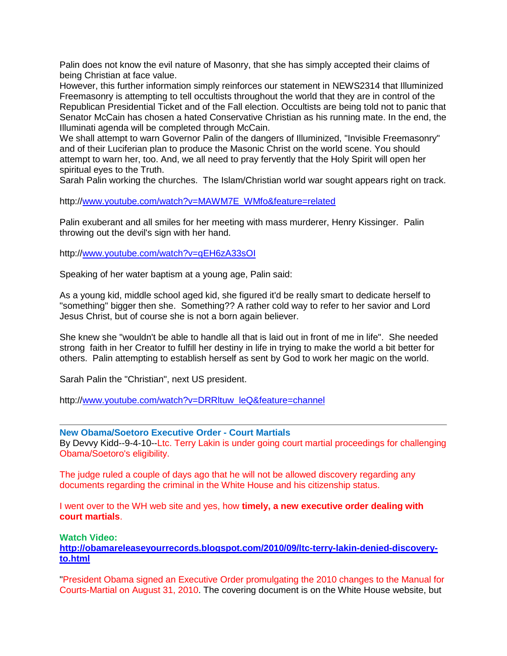Palin does not know the evil nature of Masonry, that she has simply accepted their claims of being Christian at face value.

However, this further information simply reinforces our statement in [NEWS2314](http://cuttingedge.org/news/n2314.cfm) that Illuminized Freemasonry is attempting to tell occultists throughout the world that they are in control of the Republican Presidential Ticket and of the Fall election. Occultists are being told not to panic that Senator McCain has chosen a hated Conservative Christian as his running mate. In the end, the Illuminati agenda will be completed through McCain.

We shall attempt to warn Governor Palin of the dangers of Illuminized, "Invisible Freemasonry" and of their Luciferian plan to produce the Masonic Christ on the world scene. You should attempt to warn her, too. And, we all need to pray fervently that the Holy Spirit will open her spiritual eyes to the Truth.

Sarah Palin working the churches. The Islam/Christian world war sought appears right on track.

http:/[/www.youtube.com/watch?v=MAWM7E\\_WMfo&feature=related](http://www.youtube.com/watch?v=MAWM7E_WMfo&feature=related)

Palin exuberant and all smiles for her meeting with mass murderer, Henry Kissinger. Palin throwing out the devil's sign with her hand.

http:/[/www.youtube.com/watch?v=qEH6zA33sOI](http://www.youtube.com/watch?v=qEH6zA33sOI)

Speaking of her water baptism at a young age, Palin said:

As a young kid, middle school aged kid, she figured it'd be really smart to dedicate herself to "something" bigger then she. Something?? A rather cold way to refer to her savior and Lord Jesus Christ, but of course she is not a born again believer.

She knew she "wouldn't be able to handle all that is laid out in front of me in life". She needed strong faith in her Creator to fulfill her destiny in life in trying to make the world a bit better for others. Palin attempting to establish herself as sent by God to work her magic on the world.

Sarah Palin the "Christian", next US president.

http:/[/www.youtube.com/watch?v=DRRltuw\\_leQ&feature=channel](http://www.youtube.com/watch?v=DRRltuw_leQ&feature=channel)

**New Obama/Soetoro Executive Order - Court Martials** By Devvy Kidd--9-4-10--Ltc. Terry Lakin is under going court martial proceedings for challenging Obama/Soetoro's eligibility.

The judge ruled a couple of days ago that he will not be allowed discovery regarding any documents regarding the criminal in the White House and his citizenship status.

I went over to the WH web site and yes, how **timely, a new executive order dealing with court martials**.

**Watch Video:**

**[http://obamareleaseyourrecords.blogspot.com/2010/09/ltc-terry-lakin-denied-discovery](http://obamareleaseyourrecords.blogspot.com/2010/09/ltc-terry-lakin-denied-discovery-to.html)[to.html](http://obamareleaseyourrecords.blogspot.com/2010/09/ltc-terry-lakin-denied-discovery-to.html)**

"President Obama signed an Executive Order promulgating the 2010 changes to the Manual for Courts-Martial on August 31, 2010. The covering document is on the White House website, but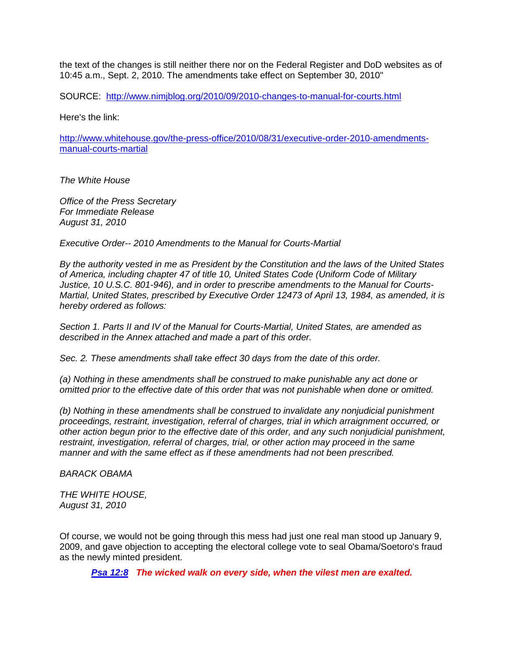the text of the changes is still neither there nor on the Federal Register and DoD websites as of 10:45 a.m., Sept. 2, 2010. The amendments take effect on September 30, 2010"

SOURCE: <http://www.nimjblog.org/2010/09/2010-changes-to-manual-for-courts.html>

Here's the link:

[http://www.whitehouse.gov/the-press-office/2010/08/31/executive-order-2010-amendments](http://www.whitehouse.gov/the-press-office/2010/08/31/executive-order-2010-amendments-manual-courts-martial)[manual-courts-martial](http://www.whitehouse.gov/the-press-office/2010/08/31/executive-order-2010-amendments-manual-courts-martial)

*The White House* 

*Office of the Press Secretary For Immediate Release August 31, 2010* 

*Executive Order-- 2010 Amendments to the Manual for Courts-Martial* 

*By the authority vested in me as President by the Constitution and the laws of the United States of America, including chapter 47 of title 10, United States Code (Uniform Code of Military Justice, 10 U.S.C. 801-946), and in order to prescribe amendments to the Manual for Courts-Martial, United States, prescribed by Executive Order 12473 of April 13, 1984, as amended, it is hereby ordered as follows:* 

*Section 1. Parts II and IV of the Manual for Courts-Martial, United States, are amended as described in the Annex attached and made a part of this order.* 

*Sec. 2. These amendments shall take effect 30 days from the date of this order.* 

*(a) Nothing in these amendments shall be construed to make punishable any act done or omitted prior to the effective date of this order that was not punishable when done or omitted.* 

*(b) Nothing in these amendments shall be construed to invalidate any nonjudicial punishment proceedings, restraint, investigation, referral of charges, trial in which arraignment occurred, or other action begun prior to the effective date of this order, and any such nonjudicial punishment, restraint, investigation, referral of charges, trial, or other action may proceed in the same manner and with the same effect as if these amendments had not been prescribed.* 

*BARACK OBAMA* 

*THE WHITE HOUSE, August 31, 2010* 

Of course, we would not be going through this mess had just one real man stood up January 9, 2009, and gave objection to accepting the electoral college vote to seal Obama/Soetoro's fraud as the newly minted president.

*[Psa 12:8](http://www.blueletterbible.org/Bible.cfm?b=Psa&c=12&v=1&t=KJV#comm/8) The wicked walk on every side, when the vilest men are exalted.*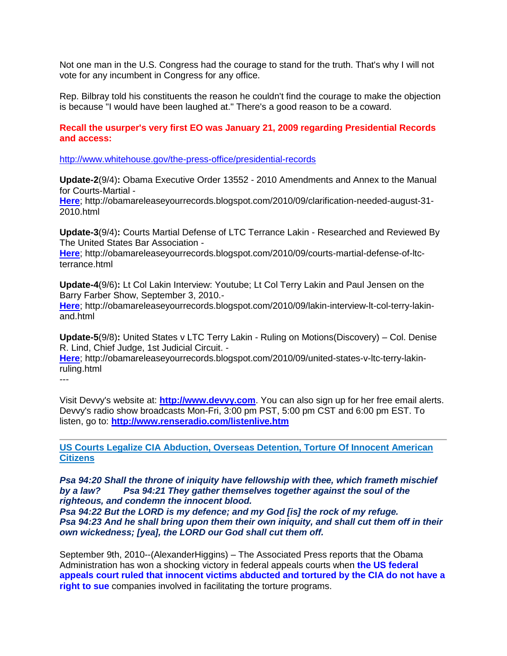Not one man in the U.S. Congress had the courage to stand for the truth. That's why I will not vote for any incumbent in Congress for any office.

Rep. Bilbray told his constituents the reason he couldn't find the courage to make the objection is because "I would have been laughed at." There's a good reason to be a coward.

## **Recall the usurper's very first EO was January 21, 2009 regarding Presidential Records and access:**

<http://www.whitehouse.gov/the-press-office/presidential-records>

**Update-2**(9/4)**:** Obama Executive Order 13552 - 2010 Amendments and Annex to the Manual for Courts-Martial -

**[Here](http://obamareleaseyourrecords.blogspot.com/2010/09/clarification-needed-august-31-2010.html)**; http://obamareleaseyourrecords.blogspot.com/2010/09/clarification-needed-august-31- 2010.html

**Update-3**(9/4)**:** Courts Martial Defense of LTC Terrance Lakin - Researched and Reviewed By The United States Bar Association -

**[Here](http://obamareleaseyourrecords.blogspot.com/2010/09/courts-martial-defense-of-ltc-terrance.html)**; http://obamareleaseyourrecords.blogspot.com/2010/09/courts-martial-defense-of-ltcterrance.html

**Update-4**(9/6)**:** Lt Col Lakin Interview: Youtube; Lt Col Terry Lakin and Paul Jensen on the Barry Farber Show, September 3, 2010.-

**[Here](http://obamareleaseyourrecords.blogspot.com/2010/09/lakin-interview-lt-col-terry-lakin-and.html)**; http://obamareleaseyourrecords.blogspot.com/2010/09/lakin-interview-lt-col-terry-lakinand.html

**Update-5**(9/8)**:** United States v LTC Terry Lakin - Ruling on Motions(Discovery) – Col. Denise R. Lind, Chief Judge, 1st Judicial Circuit. -

**[Here](http://obamareleaseyourrecords.blogspot.com/2010/09/united-states-v-ltc-terry-lakin-ruling.html)**; http://obamareleaseyourrecords.blogspot.com/2010/09/united-states-v-ltc-terry-lakinruling.html

---

Visit Devvy's website at: **[http://www.devvy.com](http://www.devvy.com/)**. You can also sign up for her free email alerts. Devvy's radio show broadcasts Mon-Fri, 3:00 pm PST, 5:00 pm CST and 6:00 pm EST. To listen, go to: **<http://www.renseradio.com/listenlive.htm>**

**[US Courts Legalize CIA Abduction, Overseas Detention, Torture Of Innocent American](http://dprogram.net/2010/09/09/us-courts-legalize-cia-abduction-overseas-detention-torture-of-innocent-american-citizens/)  [Citizens](http://dprogram.net/2010/09/09/us-courts-legalize-cia-abduction-overseas-detention-torture-of-innocent-american-citizens/)**

*Psa 94:20 Shall the throne of iniquity have fellowship with thee, which frameth mischief by a law? Psa 94:21 They gather themselves together against the soul of the righteous, and condemn the innocent blood.* 

*Psa 94:22 But the LORD is my defence; and my God [is] the rock of my refuge. Psa 94:23 And he shall bring upon them their own iniquity, and shall cut them off in their own wickedness; [yea], the LORD our God shall cut them off.* 

September 9th, 2010--(AlexanderHiggins) – The Associated Press reports that the Obama Administration has won a shocking victory in federal appeals courts when **[the US federal](http://www.msnbc.msn.com/id/39067928/ns/us_news-security/)  [appeals court ruled that innocent victims abducted and tortured by the CIA do not have a](http://www.msnbc.msn.com/id/39067928/ns/us_news-security/)  [right to sue](http://www.msnbc.msn.com/id/39067928/ns/us_news-security/)** companies involved in facilitating the torture programs.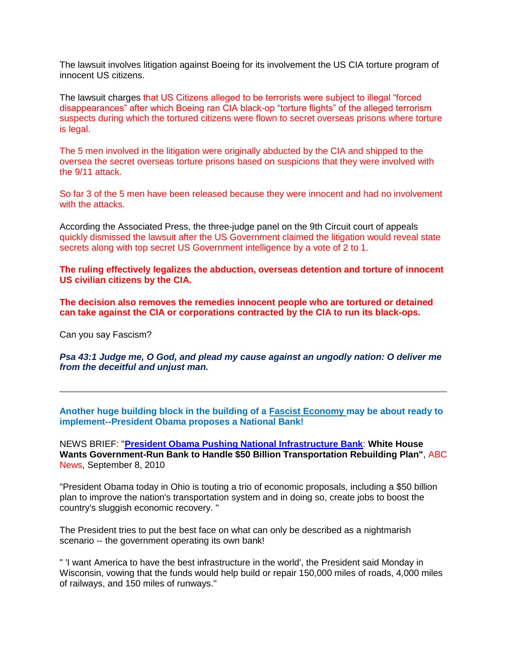The lawsuit involves litigation against Boeing for its involvement the US CIA torture program of innocent US citizens.

The lawsuit charges that US Citizens alleged to be terrorists were subject to illegal "forced disappearances" after which Boeing ran CIA black-op "torture flights" of the alleged terrorism suspects during which the tortured citizens were flown to secret overseas prisons where torture is legal.

The 5 men involved in the litigation were originally abducted by the CIA and shipped to the oversea the secret overseas torture prisons based on suspicions that they were involved with the 9/11 attack.

So far 3 of the 5 men have been released because they were innocent and had no involvement with the attacks.

According the Associated Press, the three-judge panel on the 9th Circuit court of appeals quickly dismissed the lawsuit after the US Government claimed the litigation would reveal state secrets along with top secret US Government intelligence by a vote of 2 to 1.

**The ruling effectively legalizes the abduction, overseas detention and torture of innocent US civilian citizens by the CIA.**

**The decision also removes the remedies innocent people who are tortured or detained can take against the CIA or corporations contracted by the CIA to run its black-ops.**

Can you say Fascism?

*Psa 43:1 Judge me, O God, and plead my cause against an ungodly nation: O deliver me from the deceitful and unjust man.*

**Another huge building block in the building of a [Fascist Economy m](http://www.cuttingedge.org/news/n2317.cfm)ay be about ready to implement--President Obama proposes a National Bank!**

NEWS BRIEF: "**[President Obama Pushing National Infrastructure Bank](http://abcnews.go.com/Business/bank-president-obama-pushing-national-infrastructure-bank/story?id=11584294)**: **White House Wants Government-Run Bank to Handle \$50 Billion Transportation Rebuilding Plan"**, ABC News, September 8, 2010

"President Obama today in Ohio is touting a trio of economic proposals, including a \$50 billion plan to improve the nation's transportation system and in doing so, create jobs to boost the country's sluggish economic recovery. "

The President tries to put the best face on what can only be described as a nightmarish scenario -- the government operating its own bank!

" 'I want America to have the best infrastructure in the world', the President said Monday in Wisconsin, vowing that the funds would help build or repair 150,000 miles of roads, 4,000 miles of railways, and 150 miles of runways."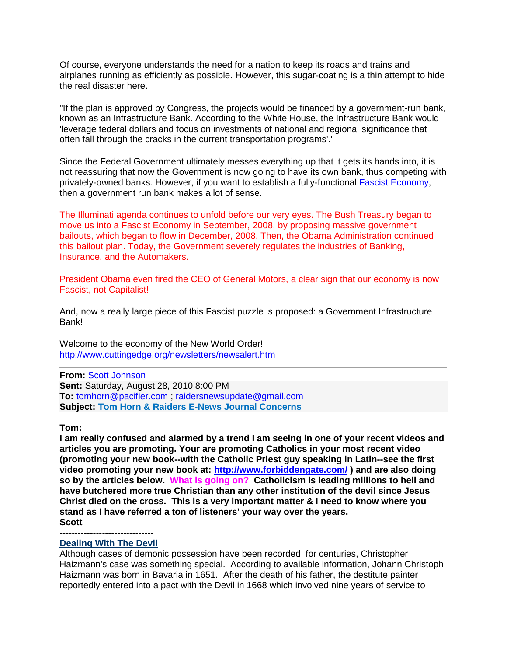Of course, everyone understands the need for a nation to keep its roads and trains and airplanes running as efficiently as possible. However, this sugar-coating is a thin attempt to hide the real disaster here.

"If the plan is approved by Congress, the projects would be financed by a government-run bank, known as an Infrastructure Bank. According to the White House, the Infrastructure Bank would 'leverage federal dollars and focus on investments of national and regional significance that often fall through the cracks in the current transportation programs'."

Since the Federal Government ultimately messes everything up that it gets its hands into, it is not reassuring that now the Government is now going to have its own bank, thus competing with privately-owned banks. However, if you want to establish a fully-functional [Fascist Economy,](http://www.cuttingedge.org/news/n2317.cfm) then a government run bank makes a lot of sense.

The Illuminati agenda continues to unfold before our very eyes. The Bush Treasury began to move us into a [Fascist Economy](http://www.cuttingedge.org/news/n2317.cfm) in September, 2008, by proposing massive government bailouts, which began to flow in December, 2008. Then, the Obama Administration continued this bailout plan. Today, the Government severely regulates the industries of Banking, Insurance, and the Automakers.

President Obama even fired the CEO of General Motors, a clear sign that our economy is now Fascist, not Capitalist!

And, now a really large piece of this Fascist puzzle is proposed: a Government Infrastructure Bank!

Welcome to the economy of the New World Order! <http://www.cuttingedge.org/newsletters/newsalert.htm>

**From:** [Scott Johnson](mailto:drjohnson@ix.netcom.com) **Sent:** Saturday, August 28, 2010 8:00 PM **To:** [tomhorn@pacifier.com](mailto:tomhorn@pacifier.com) ; [raidersnewsupdate@gmail.com](mailto:raidersnewsupdate@gmail.com) **Subject: Tom Horn & Raiders E-News Journal Concerns**

**Tom:**

**I am really confused and alarmed by a trend I am seeing in one of your recent videos and articles you are promoting. Your are promoting Catholics in your most recent video (promoting your new book--with the Catholic Priest guy speaking in Latin--see the first video promoting your new book at:<http://www.forbiddengate.com/> ) and are also doing so by the articles below. What is going on? Catholicism is leading millions to hell and have butchered more true Christian than any other institution of the devil since Jesus Christ died on the cross. This is a very important matter & I need to know where you stand as I have referred a ton of listeners' your way over the years. Scott**

#### ------------------------------- **[Dealing With The Devil](http://drvitelli.typepad.com/providentia/2010/08/dealing-with-the-devil.html)**

Although cases of demonic possession have been recorded for centuries, Christopher Haizmann's case was something special. According to available information, Johann Christoph Haizmann was born in Bavaria in 1651. After the death of his father, the destitute painter reportedly entered into a pact with the Devil in 1668 which involved nine years of service to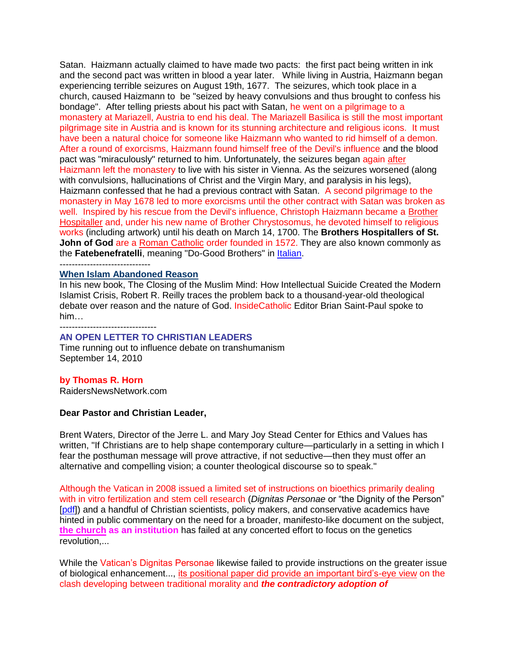Satan. Haizmann actually claimed to have made two pacts: the first pact being written in ink and the second pact was written in blood a year later. While living in Austria, Haizmann began experiencing terrible seizures on August 19th, 1677. The seizures, which took place in a church, caused Haizmann to be "seized by heavy convulsions and thus brought to confess his bondage". After telling priests about his pact with Satan, he went on a pilgrimage to a monastery at Mariazell, Austria to end his deal. The Mariazell Basilica is still the most important pilgrimage site in Austria and is known for its stunning architecture and religious icons. It must have been a natural choice for someone like Haizmann who wanted to rid himself of a demon. After a round of exorcisms, Haizmann found himself free of the Devil's influence and the blood pact was "miraculously" returned to him. Unfortunately, the seizures began again after Haizmann left the monastery to live with his sister in Vienna. As the seizures worsened (along with convulsions, hallucinations of Christ and the Virgin Mary, and paralysis in his legs), Haizmann confessed that he had a previous contract with Satan. A second pilgrimage to the monastery in May 1678 led to more exorcisms until the other contract with Satan was broken as well. Inspired by his rescue from the Devil's influence, Christoph Haizmann became a [Brother](http://en.wikipedia.org/wiki/Brothers_Hospitallers_of_St._John_of_God)  [Hospitaller](http://en.wikipedia.org/wiki/Brothers_Hospitallers_of_St._John_of_God) and, under his new name of Brother Chrystosomus, he devoted himself to religious works (including artwork) until his death on March 14, 1700. The **Brothers Hospitallers of St. John of God** are a [Roman Catholic](http://en.wikipedia.org/wiki/Roman_Catholic) order founded in 1572. They are also known commonly as the Fatebenefratelli, meaning "Do-Good Brothers" in **Italian**.

------------------------------

#### **[When Islam Abandoned Reason](http://www.catholic.org/ae/books/review.php?id=37873)**

In his new book, The Closing of the Muslim Mind: How Intellectual Suicide Created the Modern Islamist Crisis, Robert R. Reilly traces the problem back to a thousand-year-old theological debate over reason and the nature of God. InsideCatholic Editor Brian Saint-Paul spoke to him…

--------------------------------

## **AN OPEN LETTER TO CHRISTIAN LEADERS**

Time running out to influence debate on transhumanism September 14, 2010

#### **by Thomas R. Horn**

RaidersNewsNetwork.com

#### **Dear Pastor and Christian Leader,**

Brent Waters, Director of the Jerre L. and Mary Joy Stead Center for Ethics and Values has written, "If Christians are to help shape contemporary culture—particularly in a setting in which I fear the posthuman message will prove attractive, if not seductive—then they must offer an alternative and compelling vision; a counter theological discourse so to speak."

Although the Vatican in 2008 issued a limited set of instructions on bioethics primarily dealing with in vitro fertilization and stem cell research (*Dignitas Personae* or "the Dignity of the Person" [\[pdf\]](http://www.usccb.org/comm/Dignitaspersonae/Dignitas_Personae.pdf)) and a handful of Christian scientists, policy makers, and conservative academics have hinted in public commentary on the need for a broader, manifesto-like document on the subject, **the church as an institution** has failed at any concerted effort to focus on the genetics revolution,...

While the Vatican's Dignitas Personae likewise failed to provide instructions on the greater issue of biological enhancement..., its positional paper did provide an important bird's-eye view on the clash developing between traditional morality and *the contradictory adoption of*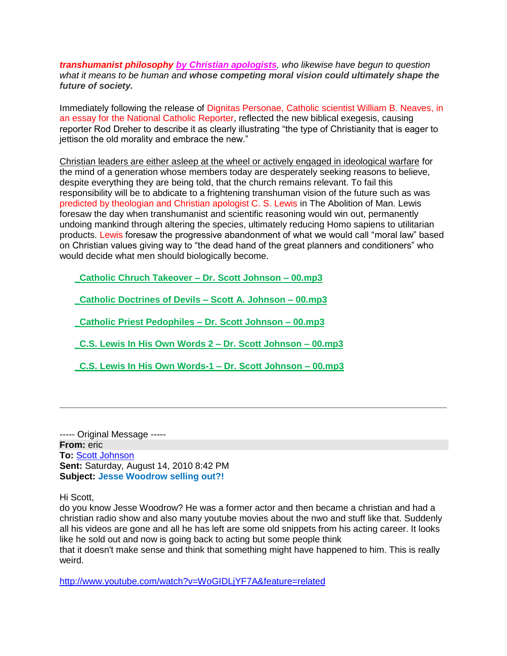*transhumanist philosophy by Christian apologists, who likewise have begun to question what it means to be human and whose competing moral vision could ultimately shape the future of society.*

Immediately following the release of Dignitas Personae, Catholic scientist William B. Neaves, in an essay for the National Catholic Reporter, reflected the new biblical exegesis, causing reporter Rod Dreher to describe it as clearly illustrating "the type of Christianity that is eager to jettison the old morality and embrace the new."

Christian leaders are either asleep at the wheel or actively engaged in ideological warfare for the mind of a generation whose members today are desperately seeking reasons to believe, despite everything they are being told, that the church remains relevant. To fail this responsibility will be to abdicate to a frightening transhuman vision of the future such as was predicted by theologian and Christian apologist C. S. Lewis in The Abolition of Man. Lewis foresaw the day when transhumanist and scientific reasoning would win out, permanently undoing mankind through altering the species, ultimately reducing Homo sapiens to utilitarian products. Lewis foresaw the progressive abandonment of what we would call "moral law" based on Christian values giving way to "the dead hand of the great planners and conditioners" who would decide what men should biologically become.

**\_Catholic Chruch Takeover – [Dr. Scott Johnson –](http://contendingfortruth.com/wp-content/uploads/audio-files/_Catholic%20Chruch%20Takeover%20-%20Dr.%20Scott%20Johnson%20-%2000.mp3) 00.mp3**

**\_Catholic [Doctrines of Devils –](http://contendingfortruth.com/wp-content/uploads/audio-files/_Catholic%20Doctrines%20of%20Devils%20-%20Scott%20A.%20Johnson%20-%2000.mp3) Scott A. Johnson – 00.mp3**

**\_Catholic Priest Pedophiles – [Dr. Scott Johnson –](http://contendingfortruth.com/wp-content/uploads/audio-files/_Catholic%20Priest%20Pedophiles%20-%20Dr.%20Scott%20Johnson%20-%2000.mp3) 00.mp3**

**[\\_C.S. Lewis In His Own Words 2 –](http://contendingfortruth.com/wp-content/uploads/audio-files/_C.S.%20Lewis%20In%20His%20Own%20Words%202%20-%20Dr.%20Scott%20Johnson%20-%2000.mp3) Dr. Scott Johnson – 00.mp3**

**[\\_C.S. Lewis In His Own Words-1 –](http://contendingfortruth.com/wp-content/uploads/audio-files/_C.S.%20Lewis%20In%20His%20Own%20Words-1%20-%20Dr.%20Scott%20Johnson%20-%2000.mp3) Dr. Scott Johnson – 00.mp3**

----- Original Message ----- **From:** eric **To:** [Scott Johnson](mailto:drjohnson@ix.netcom.com) **Sent:** Saturday, August 14, 2010 8:42 PM **Subject: Jesse Woodrow selling out?!**

Hi Scott,

do you know Jesse Woodrow? He was a former actor and then became a christian and had a christian radio show and also many youtube movies about the nwo and stuff like that. Suddenly all his videos are gone and all he has left are some old snippets from his acting career. It looks like he sold out and now is going back to acting but some people think

that it doesn't make sense and think that something might have happened to him. This is really weird.

<http://www.youtube.com/watch?v=WoGIDLjYF7A&feature=related>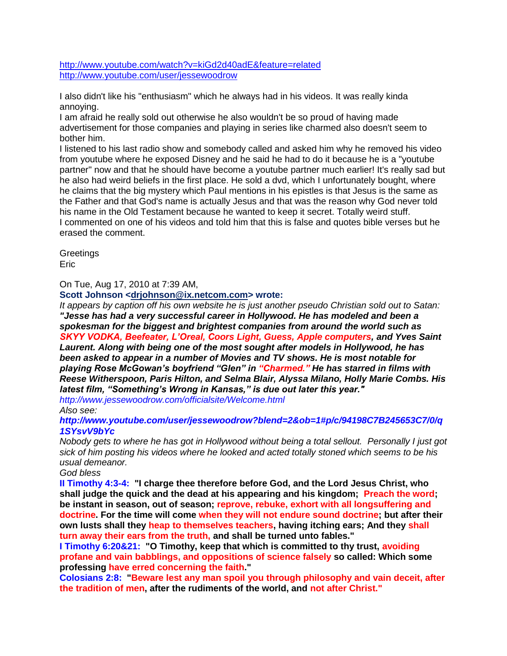<http://www.youtube.com/watch?v=kiGd2d40adE&feature=related> <http://www.youtube.com/user/jessewoodrow>

I also didn't like his "enthusiasm" which he always had in his videos. It was really kinda annoying.

I am afraid he really sold out otherwise he also wouldn't be so proud of having made advertisement for those companies and playing in series like charmed also doesn't seem to bother him.

I listened to his last radio show and somebody called and asked him why he removed his video from youtube where he exposed Disney and he said he had to do it because he is a "youtube partner" now and that he should have become a youtube partner much earlier! It's really sad but he also had weird beliefs in the first place. He sold a dvd, which I unfortunately bought, where he claims that the big mystery which Paul mentions in his epistles is that Jesus is the same as the Father and that God's name is actually Jesus and that was the reason why God never told his name in the Old Testament because he wanted to keep it secret. Totally weird stuff. I commented on one of his videos and told him that this is false and quotes bible verses but he erased the comment.

**Greetings** Eric

On Tue, Aug 17, 2010 at 7:39 AM,

**Scott Johnson [<drjohnson@ix.netcom.com>](mailto:drjohnson@ix.netcom.com) wrote:**

*It appears by caption off his own website he is just another pseudo Christian sold out to Satan: "Jesse has had a very successful career in Hollywood. He has modeled and been a spokesman for the biggest and brightest companies from around the world such as SKYY VODKA, Beefeater, L'Oreal, Coors Light, Guess, Apple computers, and Yves Saint Laurent. Along with being one of the most sought after models in Hollywood, he has been asked to appear in a number of Movies and TV shows. He is most notable for playing Rose McGowan's boyfriend "Glen" in "Charmed." He has starred in films with Reese Witherspoon, Paris Hilton, and Selma Blair, Alyssa Milano, Holly Marie Combs. His latest film, "Something's Wrong in Kansas," is due out later this year." http://www.jessewoodrow.com/officialsite/Welcome.html*

*Also see:*

*http://www.youtube.com/user/jessewoodrow?blend=2&ob=1#p/c/94198C7B245653C7/0/q 1SYsvV9bYc*

*Nobody gets to where he has got in Hollywood without being a total sellout. Personally I just got sick of him posting his videos where he looked and acted totally stoned which seems to be his usual demeanor.* 

*God bless* 

**II Timothy 4:3-4: "I charge thee therefore before God, and the Lord Jesus Christ, who shall judge the quick and the dead at his appearing and his kingdom; Preach the word; be instant in season, out of season; reprove, rebuke, exhort with all longsuffering and doctrine. For the time will come when they will not endure sound doctrine; but after their own lusts shall they heap to themselves teachers, having itching ears; And they shall turn away their ears from the truth, and shall be turned unto fables."** 

**I Timothy 6:20&21: "O Timothy, keep that which is committed to thy trust, avoiding profane and vain babblings, and oppositions of science falsely so called: Which some professing have erred concerning the faith."**

**Colosians 2:8: "Beware lest any man spoil you through philosophy and vain deceit, after the tradition of men, after the rudiments of the world, and not after Christ."**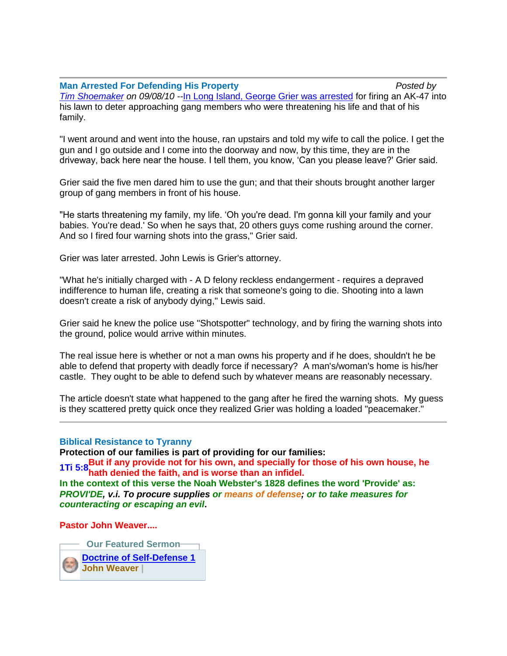## **Man Arrested For Defending His Property** *Posted by*

*[Tim Shoemaker](http://www.campaignforliberty.com/profile.php?member=Tim_Shoemaker) on 09/08/10 --*[In Long Island, George Grier was arrested](http://newyork.cbslocal.com/2010/09/07/long-island-man-arrested-for-defending-home-with-ak-47/) for firing an AK-47 into his lawn to deter approaching gang members who were threatening his life and that of his family.

"I went around and went into the house, ran upstairs and told my wife to call the police. I get the gun and I go outside and I come into the doorway and now, by this time, they are in the driveway, back here near the house. I tell them, you know, 'Can you please leave?' Grier said.

Grier said the five men dared him to use the gun; and that their shouts brought another larger group of gang members in front of his house.

"He starts threatening my family, my life. 'Oh you're dead. I'm gonna kill your family and your babies. You're dead.' So when he says that, 20 others guys come rushing around the corner. And so I fired four warning shots into the grass," Grier said.

Grier was later arrested. John Lewis is Grier's attorney.

"What he's initially charged with - A D felony reckless endangerment - requires a depraved indifference to human life, creating a risk that someone's going to die. Shooting into a lawn doesn't create a risk of anybody dying," Lewis said.

Grier said he knew the police use "Shotspotter" technology, and by firing the warning shots into the ground, police would arrive within minutes.

The real issue here is whether or not a man owns his property and if he does, shouldn't he be able to defend that property with deadly force if necessary? A man's/woman's home is his/her castle. They ought to be able to defend such by whatever means are reasonably necessary.

The article doesn't state what happened to the gang after he fired the warning shots. My guess is they scattered pretty quick once they realized Grier was holding a loaded "peacemaker."

#### **Biblical Resistance to Tyranny**

**Protection of our families is part of providing for our families:**

**1Ti [5:8B](http://www.blueletterbible.org/Bible.cfm?b=1Ti&c=5&v=8&t=KJV#8)ut if any provide not for his own, and specially for those of his own house, he hath denied the faith, and is worse than an infidel.**

**In the context of this verse the Noah Webster's 1828 defines the word 'Provide' as:** *PROVI'DE, v.i. To procure supplies or means of defense; or to take measures for counteracting or escaping an evil***.**

## **Pastor John Weaver....**

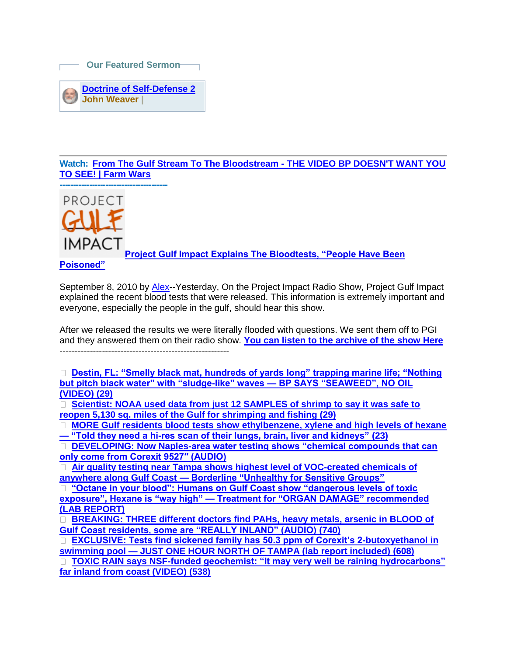**Our Featured Sermon**



**Watch: [From The Gulf Stream To The Bloodstream -](http://strongmail.real.com/track?t=c&mid=701&msgid=407&did=1256773181&sn=1244659862&eid=drjohnson@ix.netcom.com&uid=248551&extra=&&&2001&&&http://farmwars.info/?p=3984) THE VIDEO BP DOESN'T WANT YOU [TO SEE! | Farm Wars](http://strongmail.real.com/track?t=c&mid=701&msgid=407&did=1256773181&sn=1244659862&eid=drjohnson@ix.netcom.com&uid=248551&extra=&&&2001&&&http://farmwars.info/?p=3984)**



**[Project Gulf Impact Explains The Bloodtests, "People Have Been](http://theintelhub.com/2010/09/08/project-gulf-impact-explains-the-bloodtests-people-have-been-poisoned/)** 

**[Poisoned"](http://theintelhub.com/2010/09/08/project-gulf-impact-explains-the-bloodtests-people-have-been-poisoned/)**

September 8, 2010 by **Alex--Yesterday, On the Project Impact Radio Show, Project Gulf Impact** explained the recent blood tests that were released. This information is extremely important and everyone, especially the people in the gulf, should hear this show.

After we released the results we were literally flooded with questions. We sent them off to PGI and they answered them on their radio show. **You can listen [to the archive of the show Here](http://www.blogtalkradio.com/theintelhub/2010/09/08/project-impact--exposing-the-gulf-disaster)** --------------------------------------------------------

**[Destin, FL: "Smelly black mat, hundreds of yards long" trapping marine life; "Nothing](http://www.floridaoilspilllaw.com/destin-fl-smelly-black-mat-hundreds-of-yards-long-trapping-marine-life-nothing-but-pitch-black-water-with-sludge-like-waves-bp-says-seaweed-no-oil-video)  [but pitch black water" with "sludge-like" waves —](http://www.floridaoilspilllaw.com/destin-fl-smelly-black-mat-hundreds-of-yards-long-trapping-marine-life-nothing-but-pitch-black-water-with-sludge-like-waves-bp-says-seaweed-no-oil-video) BP SAYS "SEAWEED", NO OIL [\(VIDEO\)](http://www.floridaoilspilllaw.com/destin-fl-smelly-black-mat-hundreds-of-yards-long-trapping-marine-life-nothing-but-pitch-black-water-with-sludge-like-waves-bp-says-seaweed-no-oil-video) (29)** 

**[Scientist: NOAA used data from just 12 SAMPLES of shrimp to say it was safe to](http://www.floridaoilspilllaw.com/scientist-noaa-used-data-from-just-12-samples-of-shrimp-to-say-it-was-safe-to-reopen-5130-sq-miles-of-the-gulf-for-shrimping-and-fishing)  [reopen 5,130 sq. miles of the Gulf for shrimping and fishing](http://www.floridaoilspilllaw.com/scientist-noaa-used-data-from-just-12-samples-of-shrimp-to-say-it-was-safe-to-reopen-5130-sq-miles-of-the-gulf-for-shrimping-and-fishing) (29)** 

□ **MORE Gulf residents blood tests show ethylbenzene, xylene and high levels of hexane** 

**— "Told they need a [hi-res scan of their lungs, brain, liver and kidneys"](http://www.floridaoilspilllaw.com/more-gulf-residents-blood-tests-show-ethylbenzene-xylene-and-high-levels-of-hexane-told-they-need-a-hi-res-scan-of-their-lungs-brain-liver-and-kidneys) (23)**

**[DEVELOPING: Now Naples-area water testing shows "chemical compounds that can](http://www.floridaoilspilllaw.com/naples-area-water-testing-shows-chemical-compounds-that-can-only-come-from-corexit-9527)  [only come from Corexit 9527″ \(AUDIO\)](http://www.floridaoilspilllaw.com/naples-area-water-testing-shows-chemical-compounds-that-can-only-come-from-corexit-9527)**

**[Air quality testing near Tampa shows highest level of VOC-created chemicals of](http://www.floridaoilspilllaw.com/air-quality-testing-near-tampa-shows-highest-level-of-voc-created-chemicals-of-anywhere-along-gulf-coast-borderline-unhealthy-for-sensitive-groups)  anywhere along Gulf Coast — [Borderline "Unhealthy for Sensitive Groups"](http://www.floridaoilspilllaw.com/air-quality-testing-near-tampa-shows-highest-level-of-voc-created-chemicals-of-anywhere-along-gulf-coast-borderline-unhealthy-for-sensitive-groups)**

**["Octane in your blood": Humans on Gulf Coast show "dangerous levels of toxic](http://www.floridaoilspilllaw.com/octane-in-your-blood-humans-on-gulf-coast-show-dangerous-levels-of-toxic-exposure-hexane-is-way-high-treatment-for-organ-damage-photo)  exposure", Hexane is "way high" — [Treatment for "ORGAN DAMAGE" recommended](http://www.floridaoilspilllaw.com/octane-in-your-blood-humans-on-gulf-coast-show-dangerous-levels-of-toxic-exposure-hexane-is-way-high-treatment-for-organ-damage-photo)  [\(LAB REPORT\)](http://www.floridaoilspilllaw.com/octane-in-your-blood-humans-on-gulf-coast-show-dangerous-levels-of-toxic-exposure-hexane-is-way-high-treatment-for-organ-damage-photo)**

**[BREAKING: THREE different doctors find PAHs, heavy metals, arsenic in BLOOD of](http://www.floridaoilspilllaw.com/breaking-three-different-doctors-find-pahs-heavy-metals-arsenic-in-blood-gulf-coast-residents-some-are-really-inland-audio)  [Gulf Coast residents, some are "REALLY INLAND" \(AUDIO\)](http://www.floridaoilspilllaw.com/breaking-three-different-doctors-find-pahs-heavy-metals-arsenic-in-blood-gulf-coast-residents-some-are-really-inland-audio) (740)** 

**[EXCLUSIVE: Tests find sickened family has 50.3 ppm of Corexit's 2-butoxyethanol in](http://www.floridaoilspilllaw.com/exclusive-tests-find-sickened-family-has-50-3-ppm-of-corexits-2-butoxyethanol-in-swimming-pool-just-one-hour-north-of-tampa-lab-report-included)  swimming pool — [JUST ONE HOUR NORTH OF TAMPA \(lab report included\)](http://www.floridaoilspilllaw.com/exclusive-tests-find-sickened-family-has-50-3-ppm-of-corexits-2-butoxyethanol-in-swimming-pool-just-one-hour-north-of-tampa-lab-report-included) (608)** 

**[TOXIC RAIN says NSF-funded geochemist: "It may very well be raining hydrocarbons"](http://www.floridaoilspilllaw.com/toxic-rain-says-nsf-funded-geochemist-it-may-very-well-be-raining-hydrocarbons-far-inland-from-coast-video)  [far inland from coast \(VIDEO\)](http://www.floridaoilspilllaw.com/toxic-rain-says-nsf-funded-geochemist-it-may-very-well-be-raining-hydrocarbons-far-inland-from-coast-video) (538)**